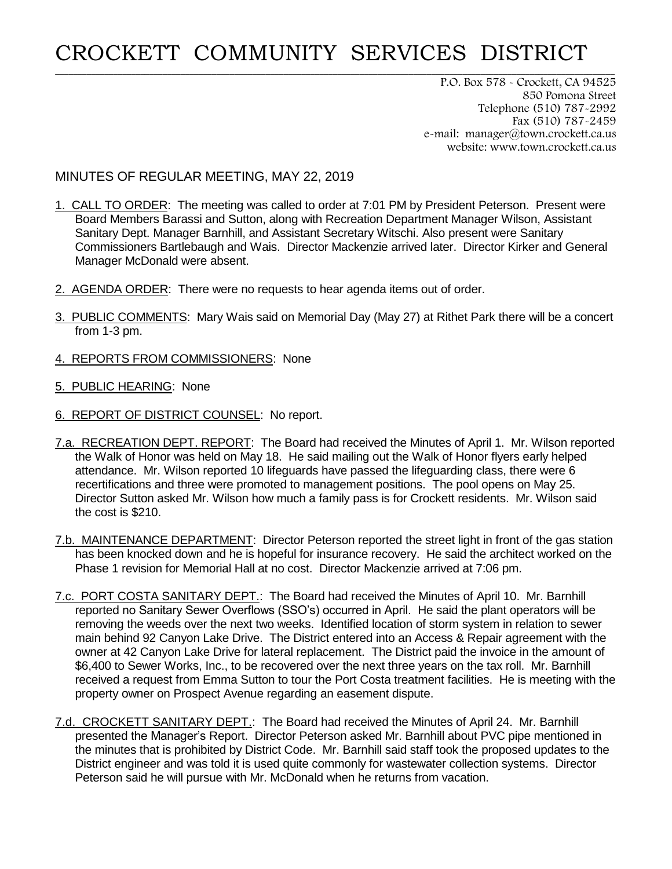## CROCKETT COMMUNITY SERVICES DISTRICT

**\_\_\_\_\_\_\_\_\_\_\_\_\_\_\_\_\_\_\_\_\_\_\_\_\_\_\_\_\_\_\_\_\_\_\_\_\_\_\_\_\_\_\_\_\_\_\_\_\_\_\_\_\_\_\_\_\_\_\_\_\_\_\_\_\_\_\_\_\_\_\_\_\_\_\_\_\_\_\_\_\_\_\_\_\_\_\_\_\_\_\_\_\_\_\_\_\_\_\_\_\_\_\_\_\_\_\_\_\_\_\_\_\_\_\_\_\_\_\_\_\_\_\_\_\_**

P.O. Box 578 - Crockett, CA 94525 850 Pomona Street Telephone (510) 787-2992 Fax (510) 787-2459 e-mail: manager@town.crockett.ca.us website: www.town.crockett.ca.us

## MINUTES OF REGULAR MEETING, MAY 22, 2019

- 1. CALL TO ORDER: The meeting was called to order at 7:01 PM by President Peterson. Present were Board Members Barassi and Sutton, along with Recreation Department Manager Wilson, Assistant Sanitary Dept. Manager Barnhill, and Assistant Secretary Witschi. Also present were Sanitary Commissioners Bartlebaugh and Wais. Director Mackenzie arrived later. Director Kirker and General Manager McDonald were absent.
- 2. AGENDA ORDER: There were no requests to hear agenda items out of order.
- 3. PUBLIC COMMENTS: Mary Wais said on Memorial Day (May 27) at Rithet Park there will be a concert from 1-3 pm.
- 4. REPORTS FROM COMMISSIONERS: None
- 5. PUBLIC HEARING: None
- 6. REPORT OF DISTRICT COUNSEL: No report.
- 7.a. RECREATION DEPT. REPORT: The Board had received the Minutes of April 1. Mr. Wilson reported the Walk of Honor was held on May 18. He said mailing out the Walk of Honor flyers early helped attendance. Mr. Wilson reported 10 lifeguards have passed the lifeguarding class, there were 6 recertifications and three were promoted to management positions. The pool opens on May 25. Director Sutton asked Mr. Wilson how much a family pass is for Crockett residents. Mr. Wilson said the cost is \$210.
- 7.b. MAINTENANCE DEPARTMENT: Director Peterson reported the street light in front of the gas station has been knocked down and he is hopeful for insurance recovery. He said the architect worked on the Phase 1 revision for Memorial Hall at no cost. Director Mackenzie arrived at 7:06 pm.
- 7.c. PORT COSTA SANITARY DEPT.: The Board had received the Minutes of April 10. Mr. Barnhill reported no Sanitary Sewer Overflows (SSO's) occurred in April. He said the plant operators will be removing the weeds over the next two weeks. Identified location of storm system in relation to sewer main behind 92 Canyon Lake Drive. The District entered into an Access & Repair agreement with the owner at 42 Canyon Lake Drive for lateral replacement. The District paid the invoice in the amount of \$6,400 to Sewer Works, Inc., to be recovered over the next three years on the tax roll. Mr. Barnhill received a request from Emma Sutton to tour the Port Costa treatment facilities. He is meeting with the property owner on Prospect Avenue regarding an easement dispute.
- 7.d. CROCKETT SANITARY DEPT.: The Board had received the Minutes of April 24. Mr. Barnhill presented the Manager's Report. Director Peterson asked Mr. Barnhill about PVC pipe mentioned in the minutes that is prohibited by District Code. Mr. Barnhill said staff took the proposed updates to the District engineer and was told it is used quite commonly for wastewater collection systems. Director Peterson said he will pursue with Mr. McDonald when he returns from vacation.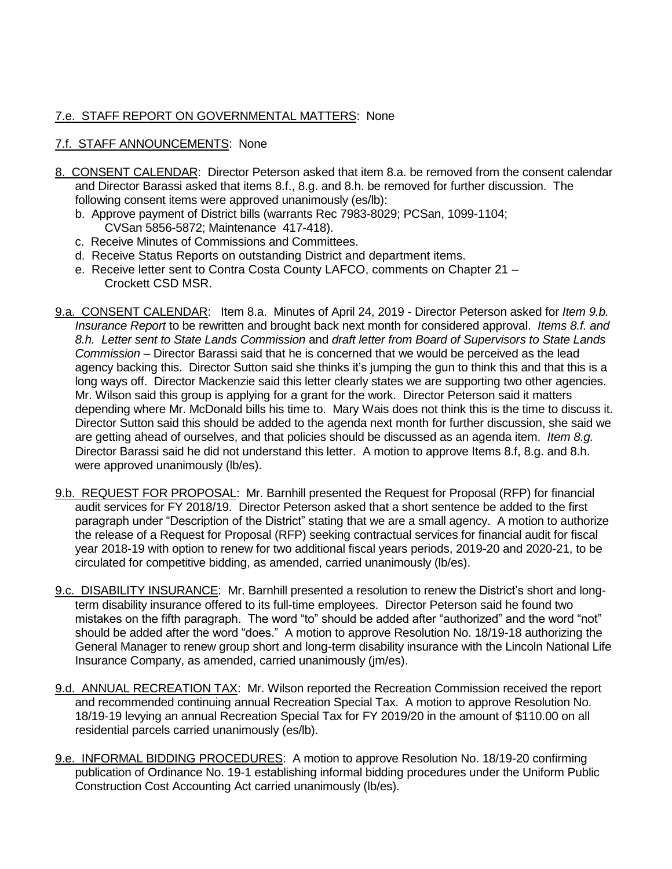## 7.e. STAFF REPORT ON GOVERNMENTAL MATTERS: None

## 7.f. STAFF ANNOUNCEMENTS: None

- 8. CONSENT CALENDAR: Director Peterson asked that item 8.a. be removed from the consent calendar and Director Barassi asked that items 8.f., 8.g. and 8.h. be removed for further discussion. The following consent items were approved unanimously (es/lb):
	- b. Approve payment of District bills (warrants Rec 7983-8029; PCSan, 1099-1104; CVSan 5856-5872; Maintenance 417-418).
	- c. Receive Minutes of Commissions and Committees.
	- d. Receive Status Reports on outstanding District and department items.
	- e. Receive letter sent to Contra Costa County LAFCO, comments on Chapter 21 Crockett CSD MSR.
- 9.a. CONSENT CALENDAR: Item 8.a. Minutes of April 24, 2019 Director Peterson asked for *Item 9.b. Insurance Report* to be rewritten and brought back next month for considered approval. *Items 8.f. and 8.h. Letter sent to State Lands Commission* and *draft letter from Board of Supervisors to State Lands Commission* – Director Barassi said that he is concerned that we would be perceived as the lead agency backing this. Director Sutton said she thinks it's jumping the gun to think this and that this is a long ways off. Director Mackenzie said this letter clearly states we are supporting two other agencies. Mr. Wilson said this group is applying for a grant for the work. Director Peterson said it matters depending where Mr. McDonald bills his time to. Mary Wais does not think this is the time to discuss it. Director Sutton said this should be added to the agenda next month for further discussion, she said we are getting ahead of ourselves, and that policies should be discussed as an agenda item. *Item 8.g.* Director Barassi said he did not understand this letter. A motion to approve Items 8.f, 8.g. and 8.h. were approved unanimously (lb/es).
- 9.b. REQUEST FOR PROPOSAL: Mr. Barnhill presented the Request for Proposal (RFP) for financial audit services for FY 2018/19. Director Peterson asked that a short sentence be added to the first paragraph under "Description of the District" stating that we are a small agency. A motion to authorize the release of a Request for Proposal (RFP) seeking contractual services for financial audit for fiscal year 2018-19 with option to renew for two additional fiscal years periods, 2019-20 and 2020-21, to be circulated for competitive bidding, as amended, carried unanimously (lb/es).
- 9.c. DISABILITY INSURANCE: Mr. Barnhill presented a resolution to renew the District's short and longterm disability insurance offered to its full-time employees. Director Peterson said he found two mistakes on the fifth paragraph. The word "to" should be added after "authorized" and the word "not" should be added after the word "does." A motion to approve Resolution No. 18/19-18 authorizing the General Manager to renew group short and long-term disability insurance with the Lincoln National Life Insurance Company, as amended, carried unanimously (jm/es).
- 9.d. ANNUAL RECREATION TAX: Mr. Wilson reported the Recreation Commission received the report and recommended continuing annual Recreation Special Tax. A motion to approve Resolution No. 18/19-19 levying an annual Recreation Special Tax for FY 2019/20 in the amount of \$110.00 on all residential parcels carried unanimously (es/lb).
- 9.e. INFORMAL BIDDING PROCEDURES: A motion to approve Resolution No. 18/19-20 confirming publication of Ordinance No. 19-1 establishing informal bidding procedures under the Uniform Public Construction Cost Accounting Act carried unanimously (lb/es).